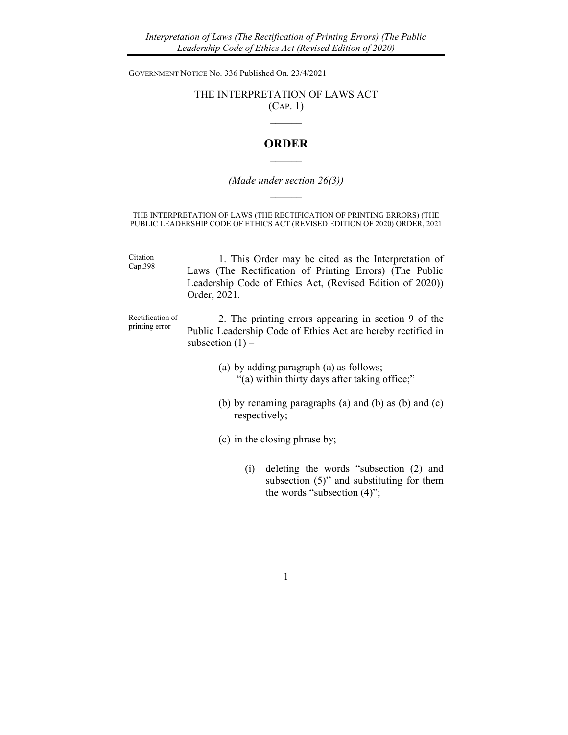GOVERNMENT NOTICE No. 336 Published On. 23/4/2021

## THE INTERPRETATION OF LAWS ACT (CAP. 1)

 $\mathcal{L}_\text{max}$ 

## **ORDER**  $\mathcal{L}=\mathcal{L}$

## (Made under section 26(3))  $\mathcal{L}=\mathcal{L}$

THE INTERPRETATION OF LAWS (THE RECTIFICATION OF PRINTING ERRORS) (THE PUBLIC LEADERSHIP CODE OF ETHICS ACT (REVISED EDITION OF 2020) ORDER, 2021

Citation Cap.398 1. This Order may be cited as the Interpretation of Laws (The Rectification of Printing Errors) (The Public Leadership Code of Ethics Act, (Revised Edition of 2020)) Order, 2021.

Rectification of printing error

2. The printing errors appearing in section 9 of the Public Leadership Code of Ethics Act are hereby rectified in subsection  $(1)$  –

- (a) by adding paragraph (a) as follows; "(a) within thirty days after taking office;"
- (b) by renaming paragraphs (a) and (b) as (b) and (c) respectively;
- (c) in the closing phrase by;
	- (i) deleting the words "subsection (2) and subsection (5)" and substituting for them the words "subsection (4)";

1